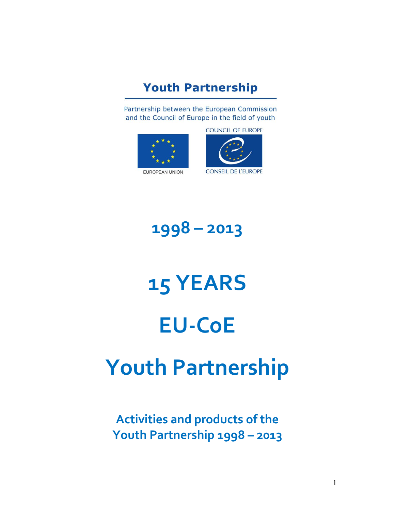### **Youth Partnership**

Partnership between the European Commission and the Council of Europe in the field of youth





# **1998 – 2013**

# **15 YEARS EU-CoE Youth Partnership**

## **Activities and products of the Youth Partnership 1998 – 2013**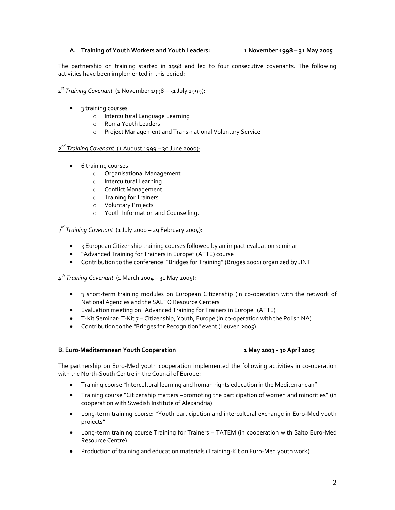#### **A. Training of Youth Workers and Youth Leaders: 1 November 1998 – 31 May 2005**

The partnership on training started in 1998 and led to four consecutive covenants. The following activities have been implemented in this period:

#### *1 st Training Covenant* (1 November 1998 – 31 July 1999)**:**

- 3 training courses
	- o Intercultural Language Learning
	- o Roma Youth Leaders
	- o Project Management and Trans-national Voluntary Service

#### *2 nd Training Covenant* (1 August 1999 – 30 June 2000):

- **6** training courses
	- o Organisational Management
	- o Intercultural Learning
	- o Conflict Management
	- o Training for Trainers
	- o Voluntary Projects
	- o Youth Information and Counselling.

#### *3 rd Training Covenant* (1 July 2000 – 29 February 2004):

- 3 European Citizenship training courses followed by an impact evaluation seminar
- "Advanced Training for Trainers in Europe" (ATTE) course
- Contribution to the conference "Bridges for Training" (Bruges 2001) organized by JINT

#### *4 th Training Covenant* (1 March 2004 – 31 May 2005):

- 3 short-term training modules on European Citizenship (in co-operation with the network of National Agencies and the SALTO Resource Centers
- Evaluation meeting on "Advanced Training for Trainers in Europe" (ATTE)
- $\bullet$  T-Kit Seminar: T-Kit  $7$  Citizenship, Youth, Europe (in co-operation with the Polish NA)
- Contribution to the "Bridges for Recognition" event (Leuven 2005).

#### **B. Euro-Mediterranean Youth Cooperation 1 May 2003 - 30 April 2005**

The partnership on Euro-Med youth cooperation implemented the following activities in co-operation with the North-South Centre in the Council of Europe:

- Training course "Intercultural learning and human rights education in the Mediterranean"
- Training course "Citizenship matters -promoting the participation of women and minorities" (in cooperation with Swedish Institute of Alexandria)
- Long-term training course: "Youth participation and intercultural exchange in Euro-Med youth projects"
- Long-term training course Training for Trainers TATEM (in cooperation with Salto Euro-Med Resource Centre)
- Production of training and education materials (Training-Kit on Euro-Med youth work).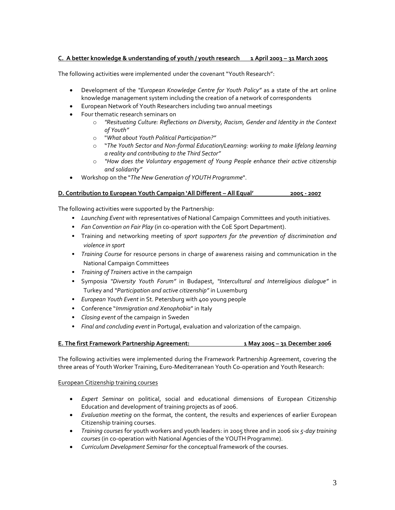#### **C. A better knowledge & understanding of youth / youth research 1 April 2003 – 31 March 2005**

The following activities were implemented under the covenant "Youth Research":

- Development of the *"European Knowledge Centre for Youth Policy"* as a state of the art online knowledge management system including the creation of a network of correspondents
- European Network of Youth Researchers including two annual meetings
- Four thematic research seminars on
	- o *"Resituating Culture: Reflections on Diversity, Racism, Gender and Identity in the Context of Youth"*
	- o "*What about Youth Political Participation?"*
	- o "*The Youth Sector and Non-formal Education/Learning: working to make lifelong learning a reality and contributing to the Third Sector"*
	- o *"How does the Voluntary engagement of Young People enhance their active citizenship and solidarity"*
- Workshop on the "*The New Generation of YOUTH Programme*".

#### **D. Contribution to European Youth Campaign 'All Different – All Equal' 2005 - 2007**

The following activities were supported by the Partnership:

- *Launching Event* with representatives of National Campaign Committees and youth initiatives.
- *Fan Convention on Fair Play* (in co-operation with the CoE Sport Department).
- Training and networking meeting of *sport supporters for the prevention of discrimination and violence in sport*
- *Training Course* for resource persons in charge of awareness raising and communication in the National Campaign Committees
- *Training of Trainers* active in the campaign
- Symposia *"Diversity Youth Forum"* in Budapest, *"Intercultural and Interreligious dialogue"* in Turkey and *"Participation and active citizenship"* in Luxemburg
- *European Youth Event* in St. Petersburg with 400 young people
- Conference "*Immigration and Xenophobia*" in Italy
- *Closing event* of the campaign in Sweden
- *Final and concluding event* in Portugal, evaluation and valorization of the campaign.

#### **E. The first Framework Partnership Agreement: 1 May 2005 – 31 December 2006**

The following activities were implemented during the Framework Partnership Agreement, covering the three areas of Youth Worker Training, Euro-Mediterranean Youth Co-operation and Youth Research:

#### European Citizenship training courses

- *Expert Seminar* on political, social and educational dimensions of European Citizenship Education and development of training projects as of 2006.
- *Evaluation meeting* on the format, the content, the results and experiences of earlier European Citizenship training courses.
- *Training courses* for youth workers and youth leaders: in 2005 three and in 2006 six *5-day training courses* (in co-operation with National Agencies of the YOUTH Programme).
- *Curriculum Development Seminar* for the conceptual framework of the courses.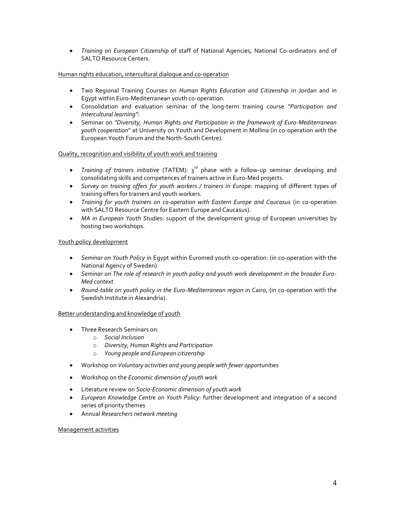*Training on European Citizenship* of staff of National Agencies, National Co-ordinators and of SALTO Resource Centers.

#### Human rights education, intercultural dialogue and co-operation

- Two Regional Training Courses on *Human Rights Education and Citizenship* in Jordan and in Egypt within Euro-Mediterranean youth co-operation.
- Consolidation and evaluation seminar of the long-term training course *"Participation and Intercultural learning"*:
- Seminar on *"Diversity, Human Rights and Participation in the framework of Euro-Mediterranean youth cooperation*" at University on Youth and Development in Mollina (in co-operation with the European Youth Forum and the North-South Centre).

#### Quality, recognition and visibility of youth work and training

- Training of trainers initiative (TATEM): 3<sup>rd</sup> phase with a follow-up seminar developing and consolidating skills and competences of trainers active in Euro-Med projects.
- *Survey on training offers for youth workers / trainers in Europe:* mapping of different types of training offers for trainers and youth workers.
- *Training for youth trainers on co-operation with Eastern Europe and Caucasus* (in co-operation with SALTO Resource Centre for Eastern Europe and Caucasus).
- *MA in European Youth Studies:* support of the development group of European universities by hosting two workshops.

#### Youth policy development

- *Seminar on Youth Policy* in Egypt within Euromed youth co-operation: (in co-operation with the National Agency of Sweden)
- *Seminar on The role of research in youth policy and youth work development in the broader Euro-Med context*
- *Round-table on youth policy in the Euro-Mediterranean region* in Cairo, (in co-operation with the Swedish Institute in Alexandria).

#### Better understanding and knowledge of youth

- Three Research Seminars on:
	- o *Social Inclusion*
	- o *Diversity, Human Rights and Participation*
	- o *Young people and European citizenship*
- Workshop on *Voluntary activities and young people with fewer opportunities*
- Workshop on the *Economic dimension of youth work*
- Literature review on *Socio-Economic dimension of youth work*
- *European Knowledge Centre on Youth Policy*: further development and integration of a second series of priority themes
- Annual *Researchers network meeting*

#### Management activities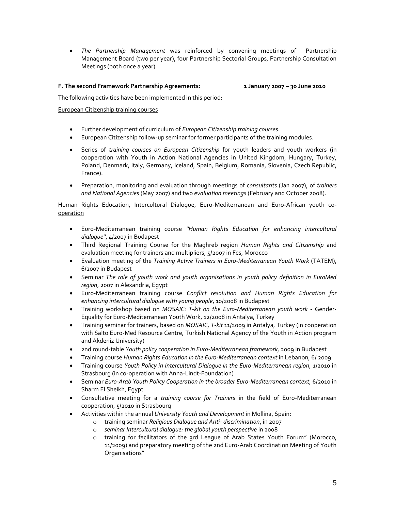*The Partnership Management* was reinforced by convening meetings of Partnership Management Board (two per year), four Partnership Sectorial Groups, Partnership Consultation Meetings (both once a year)

#### **F. The second Framework Partnership Agreements: 1 January 2007 – 30 June 2010**

The following activities have been implemented in this period:

#### European Citizenship training courses

- Further development of curriculum of *European Citizenship training courses*.
- European Citizenship follow-up seminar for former participants of the training modules.
- Series of *training courses on European Citizenship* for youth leaders and youth workers (in cooperation with Youth in Action National Agencies in United Kingdom, Hungary, Turkey, Poland, Denmark, Italy, Germany, Iceland, Spain, Belgium, Romania, Slovenia, Czech Republic, France).
- Preparation, monitoring and evaluation through meetings of c*onsultants* (Jan 2007), of *trainers and National Agencies* (May 2007) and two *evaluation meetings* (February and October 2008).

#### Human Rights Education, Intercultural Dialogue, Euro-Mediterranean and Euro-African youth cooperation

- Euro-Mediterranean training course *''Human Rights Education for enhancing intercultural dialogue''*, 4/2007 in Budapest
- Third Regional Training Course for the Maghreb region *Human Rights and Citizenship* and evaluation meeting for trainers and multipliers, 5/2007 in Fès, Morocco
- Evaluation meeting of the *Training Active Trainers in Euro-Mediterranean Youth Work* (TATEM), 6/2007 in Budapest
- Seminar *The role of youth work and youth organisations in youth policy definition in EuroMed region*, 2007 in Alexandria, Egypt
- Euro-Mediterranean training course *Conflict resolution and Human Rights Education for enhancing intercultural dialogue with young people*, 10/2008 in Budapest
- Training workshop based on *MOSAIC: T-kit on the Euro-Mediterranean youth work* Gender-Equality for Euro-Mediterranean Youth Work, 12/2008 in Antalya, Turkey
- Training seminar for trainers, based on *MOSAIC, T-kit* 11/2009 in Antalya, Turkey (in cooperation with Salto Euro-Med Resource Centre, Turkish National Agency of the Youth in Action program and Akdeniz University)
- 2nd round-table *Youth policy cooperation in Euro-Mediterranean framework,* 2009 in Budapest
- Training course *Human Rights Education in the Euro-Mediterranean context* in Lebanon, 6/ 2009
- Training course *Youth Policy in Intercultural Dialogue in the Euro-Mediterranean region*, 1/2010 in Strasbourg (in co-operation with Anna-Lindt-Foundation)
- Seminar *Euro-Arab Youth Policy Cooperation in the broader Euro-Mediterranean context*, 6/2010 in Sharm El Sheikh, Egypt
- Consultative meeting for a *training course for Trainers* in the field of Euro-Mediterranean cooperation, 5/2010 in Strasbourg
- Activities within the annual *University Youth and Development* in Mollina, Spain:
	- o training seminar *Religious Dialogue and Anti- discrimination*, in 2007
		- o *seminar Intercultural dialogue: the global youth perspective* in 2008
		- o training for facilitators of the 3rd League of Arab States Youth Forum" (Morocco, 11/2009) and preparatory meeting of the 2nd Euro-Arab Coordination Meeting of Youth Organisations"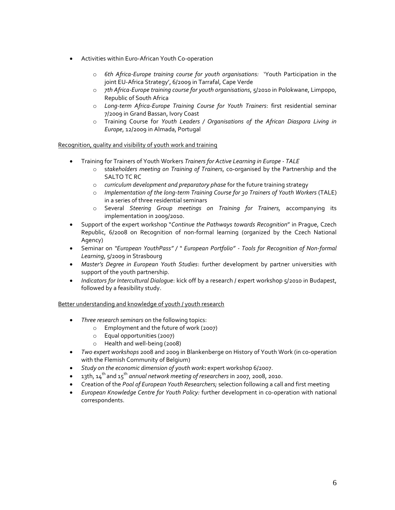- Activities within Euro-African Youth Co-operation
	- o *6th Africa-Europe training course for youth organisations:* 'Youth Participation in the joint EU-Africa Strategy', 6/2009 in Tarrafal, Cape Verde
	- o *7th Africa-Europe training course for youth organisations*, 5/2010 in Polokwane, Limpopo, Republic of South Africa
	- o *Long-term Africa-Europe Training Course for Youth Trainers*: first residential seminar 7/2009 in Grand Bassan, Ivory Coast
	- o Training Course for *Youth Leaders / Organisations of the African Diaspora Living in Europe*, 12/2009 in Almada, Portugal

#### Recognition, quality and visibility of youth work and training

- Training for Trainers of Youth Workers *Trainers for Active Learning in Europe - TALE*
	- o s*takeholders meeting on Training of Trainers*, co-organised by the Partnership and the SALTO TC RC
	- o *curriculum development and preparatory phase* for the future training strategy
	- o *Implementation of the long-term Training Course for 30 Trainers of Youth Workers* (TALE) in a series of three residential seminars
	- o Several *Steering Group meetings on Training for Trainers,* accompanying its implementation in 2009/2010.
- Support of the expert workshop "*Continue the Pathways towards Recognition*" in Prague, Czech Republic, 6/2008 on Recognition of non-formal learning (organized by the Czech National Agency)
- Seminar on *"European YouthPass" / " European Portfolio" - Tools for Recognition of Non-formal Learning*, 5/2009 in Strasbourg
- *Master's Degree in European Youth Studies*: further development by partner universities with support of the youth partnership.
- *Indicators for Intercultural Dialogue*: kick off by a research / expert workshop 5/2010 in Budapest, followed by a feasibility study.

#### Better understanding and knowledge of youth / youth research

- *Three research seminars* on the following topics:
	- o Employment and the future of work (2007)
	- o Equal opportunities (2007)
	- o Health and well-being (2008)
- *Two expert workshops* 2008 and 2009 in Blankenberge on History of Youth Work (in co-operation with the Flemish Community of Belgium)
- *Study on the economic dimension of youth work***:** expert workshop 6/2007.
- 13th, 14 th and 15th *annual network meeting of researchers* in 2007, 2008, 2010.
- Creation of the *Pool of European Youth Researchers;* selection following a call and first meeting
- *European Knowledge Centre for Youth Policy:* further development in co-operation with national correspondents.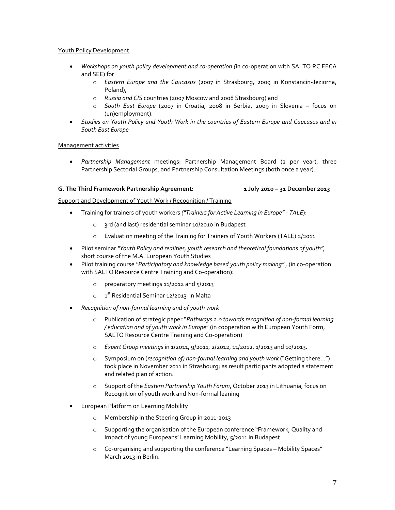#### Youth Policy Development

- *Workshops on youth policy development and co-operation (*in co-operation with SALTO RC EECA and SEE) for
	- o *Eastern Europe and the Caucasus* (2007 in Strasbourg, 2009 in Konstancin-Jeziorna, Poland),
	- o *Russia and CIS* countries (2007 Moscow and 2008 Strasbourg) and
	- o *South East Europe* (2007 in Croatia, 2008 in Serbia, 2009 in Slovenia focus on (un)employment).
- *Studies on Youth Policy and Youth Work in the countries of Eastern Europe and Caucasus and in South East Europe*

#### Management activities

 *Partnership Management* meetings: Partnership Management Board (2 per year), three Partnership Sectorial Groups, and Partnership Consultation Meetings (both once a year).

#### **G. The Third Framework Partnership Agreement: 1 July 2010 – 31 December 2013**

#### Support and Development of Youth Work / Recognition / Training

- Training for trainers of youth workers *("Trainers for Active Learning in Europe" - TALE*):
	- o 3rd (and last) residential seminar 10/2010 in Budapest
	- o Evaluation meeting of the Training for Trainers of Youth Workers (TALE) 2/2011
- Pilot seminar *"Youth Policy and realities, youth research and theoretical foundations of youth",* short course of the M.A. European Youth Studies
- Pilot training course *''Participatory and knowledge based youth policy making" ,* (in co-operation with SALTO Resource Centre Training and Co-operation):
	- o preparatory meetings 11/2012 and 5/2013
	- $\circ$   $\quad$  1<sup>st</sup> Residential Seminar 12/2013 in Malta
- *Recognition of non-formal learning and of youth work*
	- o Publication of strategic paper "*Pathways 2.0 towards recognition of non-formal learning / education and of youth work in Europe*" (in cooperation with European Youth Form, SALTO Resource Centre Training and Co-operation)
	- o *Expert Group meetings* in 1/2011, 9/2011, 2/2012, 11/2012, 1/2013 and 10/2013.
	- o Symposium on (*recognition of) non-formal learning and youth work* ("Getting there…") took place in November 2011 in Strasbourg; as result participants adopted a statement and related plan of action.
	- o Support of the *Eastern Partnership Youth Forum*, October 2013 in Lithuania, focus on Recognition of youth work and Non-formal leaning
- European Platform on Learning Mobility
	- o Membership in the Steering Group in 2011-2013
	- o Supporting the organisation of the European conference "Framework, Quality and Impact of young Europeans' Learning Mobility, 5/2011 in Budapest
	- o Co-organising and supporting the conference "Learning Spaces Mobility Spaces" March 2013 in Berlin.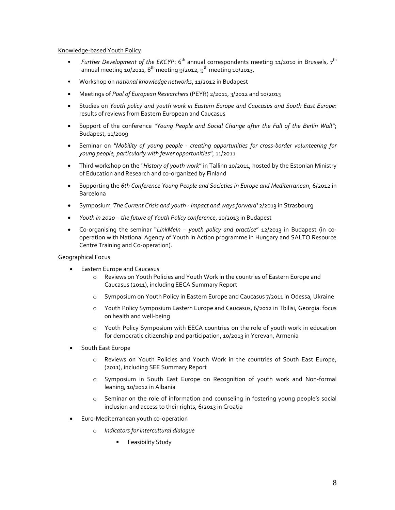#### Knowledge-based Youth Policy

- Further Development of the EKCYP: 6<sup>th</sup> annual correspondents meeting 11/2010 in Brussels, 7<sup>th</sup> annual meeting 10/2011,  $8^{\text{th}}$  meeting 9/2012,  $9^{\text{th}}$  meeting 10/2013,
- Workshop on *national knowledge networks*, 11/2012 in Budapest
- Meetings of *Pool of European Researchers* (PEYR) 2/2011, 3/2012 and 10/2013
- Studies on *Youth policy and youth work in Eastern Europe and Caucasus and South East Europe*: results of reviews from Eastern European and Caucasus
- Support of the conference *"Young People and Social Change after the Fall of the Berlin Wall"*; Budapest, 11/2009
- Seminar on *''Mobility of young people - creating opportunities for cross-border volunteering for young people, particularly with fewer opportunities''*, 11/2011
- Third workshop on the *"History of youth work*" in Tallinn 10/2011, hosted by the Estonian Ministry of Education and Research and co-organized by Finland
- Supporting the *6th Conference Young People and Societies in Europe and Mediterranean*, 6/2012 in Barcelona
- Symposium *'The Current Crisis and youth - Impact and ways forward'* 2/2013 in Strasbourg
- *Youth in 2020 – the future of Youth Policy conference*, 10/2013 in Budapest
- Co-organising the seminar "*LinkMeIn – youth policy and practice*" 12/2013 in Budapest (in cooperation with National Agency of Youth in Action programme in Hungary and SALTO Resource Centre Training and Co-operation).

#### Geographical Focus

- Eastern Europe and Caucasus
	- o Reviews on Youth Policies and Youth Work in the countries of Eastern Europe and Caucasus (2011), including EECA Summary Report
	- o Symposium on Youth Policy in Eastern Europe and Caucasus 7/2011 in Odessa, Ukraine
	- o Youth Policy Symposium Eastern Europe and Caucasus, 6/2012 in Tbilisi, Georgia: focus on health and well-being
	- o Youth Policy Symposium with EECA countries on the role of youth work in education for democratic citizenship and participation, 10/2013 in Yerevan, Armenia
- South East Europe
	- o Reviews on Youth Policies and Youth Work in the countries of South East Europe, (2011), including SEE Summary Report
	- o Symposium in South East Europe on Recognition of youth work and Non-formal leaning, 10/2012 in Albania
	- o Seminar on the role of information and counseling in fostering young people's social inclusion and access to their rights, 6/2013 in Croatia
- Euro-Mediterranean youth co-operation
	- o *Indicators for intercultural dialogue*
		- **Feasibility Study**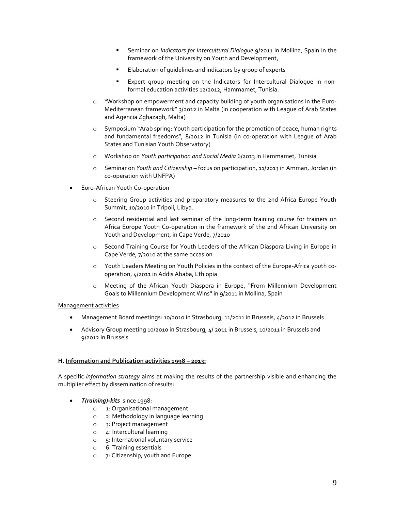- Seminar on *Indicators for Intercultural Dialogue* 9/2011 in Mollina, Spain in the framework of the University on Youth and Development,
- Elaboration of guidelines and indicators by group of experts
- Expert group meeting on the Indicators for Intercultural Dialogue in nonformal education activities 12/2012, Hammamet, Tunisia.
- o "Workshop on empowerment and capacity building of youth organisations in the Euro-Mediterranean framework" 3/2012 in Malta (in cooperation with League of Arab States and Agencia Zghazagh, Malta)
- o Symposium "Arab spring: Youth participation for the promotion of peace, human rights and fundamental freedoms", 8/2012 in Tunisia (in co-operation with League of Arab States and Tunisian Youth Observatory)
- o Workshop on *Youth participation and Social Media* 6/2013 in Hammamet, Tunisia
- o Seminar on *Youth and Citizenship* focus on participation, 11/2013 in Amman, Jordan (in co-operation with UNFPA)
- Euro-African Youth Co-operation
	- o Steering Group activities and preparatory measures to the 2nd Africa Europe Youth Summit, 10/2010 in Tripoli, Libya.
	- o Second residential and last seminar of the long-term training course for trainers on Africa Europe Youth Co-operation in the framework of the 2nd African University on Youth and Development, in Cape Verde, 7/2010
	- o Second Training Course for Youth Leaders of the African Diaspora Living in Europe in Cape Verde, 7/2010 at the same occasion
	- o Youth Leaders Meeting on Youth Policies in the context of the Europe-Africa youth cooperation, 4/2011 in Addis Ababa, Ethiopia
	- o Meeting of the African Youth Diaspora in Europe, "From Millennium Development Goals to Millennium Development Wins'' in 9/2011 in Mollina, Spain

#### Management activities

- Management Board meetings: 10/2010 in Strasbourg, 11/2011 in Brussels, 4/2012 in Brussels
- Advisory Group meeting 10/2010 in Strasbourg, 4/ 2011 in Brussels, 10/2011 in Brussels and 9/2012 in Brussels

#### **H. Information and Publication activities 1998 – 2013:**

A specific *information strategy* aims at making the results of the partnership visible and enhancing the multiplier effect by dissemination of results:

- *T(raining)-kits* since 1998:
	- o 1: Organisational management
	- o 2: Methodology in language learning
	- o 3: Project management
	- o 4: Intercultural learning
	- o 5: International voluntary service
	- o 6: Training essentials
	- o 7: Citizenship, youth and Europe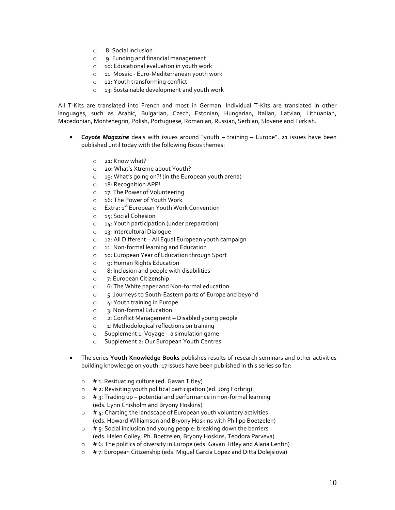- o 8: Social inclusion
- o 9: Funding and financial management
- o 10: Educational evaluation in youth work
- o 11: Mosaic Euro-Mediterranean youth work
- o 12: Youth transforming conflict
- o 13: Sustainable development and youth work

All T-Kits are translated into French and most in German. Individual T-Kits are translated in other languages, such as Arabic, Bulgarian, Czech, Estonian, Hungarian, Italian, Latvian, Lithuanian, Macedonian, Montenegrin, Polish, Portuguese, Romanian, Russian, Serbian, Slovene and Turkish.

- *Coyote Magazine* deals with issues around "youth training Europe". 21 issues have been published until today with the following focus themes:
	- o 21: Know what?
	- o 20: What's Xtreme about Youth?
	- o 19: What's going on?! (in the European youth arena)
	- o 18: Recognition APP!
	- o 17: The Power of Volunteering
	- o 16: The Power of Youth Work
	- o Extra: 1<sup>st</sup> European Youth Work Convention
	- o 15: Social Cohesion
	- o 14: Youth participation (under preparation)
	- o 13: Intercultural Dialogue
	- o 12: All Different All Equal European youth campaign
	- o 11: Non-formal learning and Education
	- o 10: European Year of Education through Sport
	- o 9: Human Rights Education
	- o 8: Inclusion and people with disabilities
	- o 7: European Citizenship
	- o 6: The White paper and Non-formal education
	- o 5: Journeys to South-Eastern parts of Europe and beyond
	- o 4: Youth training in Europe
	- o 3: Non-formal Education
	- o 2: Conflict Management Disabled young people
	- o 1: Methodological reflections on training
	- o Supplement 1: Voyage a simulation game
	- o Supplement 2: Our European Youth Centres
- The series **Youth Knowledge Books** publishes results of research seminars and other activities building knowledge on youth: 17 issues have been published in this series so far:
	- $\circ$  # 1: Resituating culture (ed. Gavan Titley)
	- $\circ$  # 2: Revisiting youth political participation (ed. Jörg Forbrig)
	- $\circ$  # 3: Trading up potential and performance in non-formal learning (eds. Lynn Chisholm and Bryony Hoskins)
	- $\circ$  # 4: Charting the landscape of European youth voluntary activities (eds. Howard Williamson and Bryony Hoskins with Philipp Boetzelen)
	- $\circ$  # 5: Social inclusion and young people: breaking down the barriers (eds. Helen Colley, Ph. Boetzelen, Bryony Hoskins, Teodora Parveva)
	- $\circ$  # 6: The politics of diversity in Europe (eds. Gavan Titley and Alana Lentin)
	- $\circ$  # 7: European Citizenship (eds. Miguel Garcia Lopez and Ditta Dolejsiova)